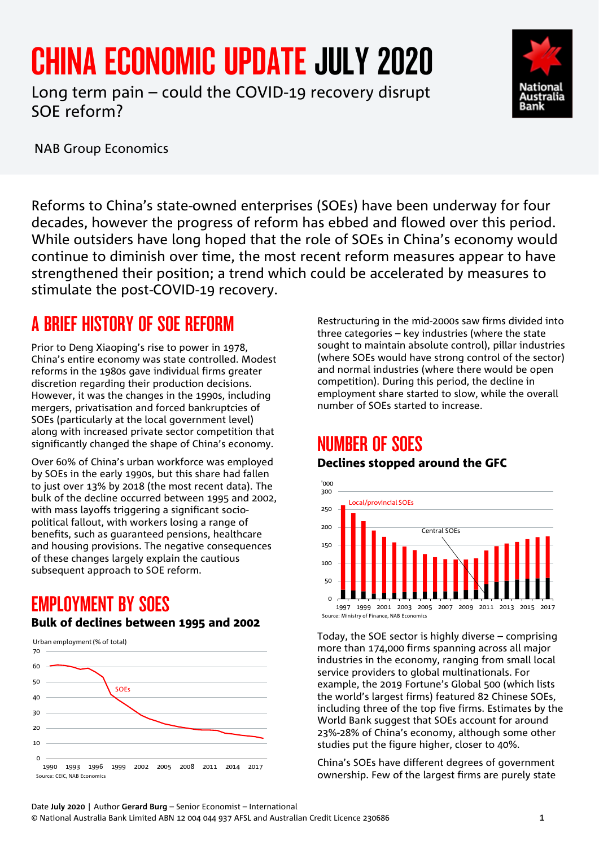# CHINA ECONOMIC UPDATE JULY 2020

Long term pain – could the COVID-19 recovery disrupt SOE reform?



NAB Group Economics

Reforms to China's state-owned enterprises (SOEs) have been underway for four decades, however the progress of reform has ebbed and flowed over this period. While outsiders have long hoped that the role of SOEs in China's economy would continue to diminish over time, the most recent reform measures appear to have strengthened their position; a trend which could be accelerated by measures to stimulate the post-COVID-19 recovery.

# A BRIEF HISTORY OF SOE REFORM

Prior to Deng Xiaoping's rise to power in 1978, China's entire economy was state controlled. Modest reforms in the 1980s gave individual firms greater discretion regarding their production decisions. However, it was the changes in the 1990s, including mergers, privatisation and forced bankruptcies of SOEs (particularly at the local government level) along with increased private sector competition that significantly changed the shape of China's economy.

Over 60% of China's urban workforce was employed by SOEs in the early 1990s, but this share had fallen to just over 13% by 2018 (the most recent data). The bulk of the decline occurred between 1995 and 2002, with mass layoffs triggering a significant sociopolitical fallout, with workers losing a range of benefits, such as guaranteed pensions, healthcare and housing provisions. The negative consequences of these changes largely explain the cautious subsequent approach to SOE reform.

## EMPLOYMENT BY SOES Bulk of declines between 1995 and 2002



Source: CEIC, NAB Economics

Restructuring in the mid-2000s saw firms divided into three categories – key industries (where the state sought to maintain absolute control), pillar industries (where SOEs would have strong control of the sector) and normal industries (where there would be open competition). During this period, the decline in employment share started to slow, while the overall number of SOEs started to increase.

## NUMBER OF SOES Declines stopped around the GFC



Today, the SOE sector is highly diverse – comprising more than 174,000 firms spanning across all major industries in the economy, ranging from small local service providers to global multinationals. For example, the 2019 Fortune's Global 500 (which lists the world's largest firms) featured 82 Chinese SOEs, including three of the top five firms. Estimates by the World Bank suggest that SOEs account for around 23%-28% of China's economy, although some other studies put the figure higher, closer to 40%.

China's SOEs have different degrees of government ownership. Few of the largest firms are purely state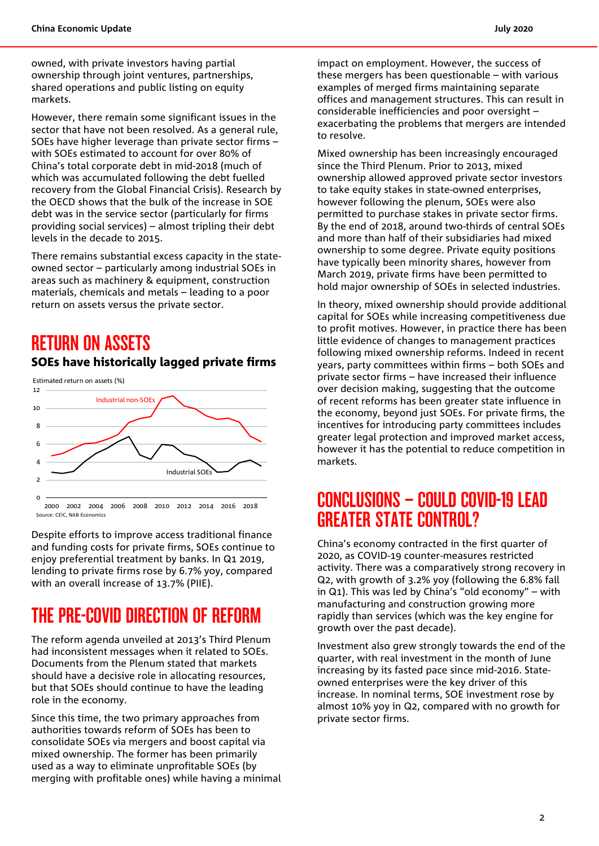owned, with private investors having partial ownership through joint ventures, partnerships, shared operations and public listing on equity markets.

However, there remain some significant issues in the sector that have not been resolved. As a general rule, SOEs have higher leverage than private sector firms – with SOEs estimated to account for over 80% of China's total corporate debt in mid-2018 (much of which was accumulated following the debt fuelled recovery from the Global Financial Crisis). Research by the OECD shows that the bulk of the increase in SOE debt was in the service sector (particularly for firms providing social services) – almost tripling their debt levels in the decade to 2015.

There remains substantial excess capacity in the stateowned sector – particularly among industrial SOEs in areas such as machinery & equipment, construction materials, chemicals and metals – leading to a poor return on assets versus the private sector.

# RETURN ON ASSETS

#### SOEs have historically lagged private firms



Despite efforts to improve access traditional finance and funding costs for private firms, SOEs continue to enjoy preferential treatment by banks. In Q1 2019, lending to private firms rose by 6.7% yoy, compared with an overall increase of 13.7% (PIIE).

## THE PRE-COVID DIRECTION OF REFORM

The reform agenda unveiled at 2013's Third Plenum had inconsistent messages when it related to SOEs. Documents from the Plenum stated that markets should have a decisive role in allocating resources, but that SOEs should continue to have the leading role in the economy.

Since this time, the two primary approaches from authorities towards reform of SOEs has been to consolidate SOEs via mergers and boost capital via mixed ownership. The former has been primarily used as a way to eliminate unprofitable SOEs (by merging with profitable ones) while having a minimal impact on employment. However, the success of these mergers has been questionable – with various examples of merged firms maintaining separate offices and management structures. This can result in considerable inefficiencies and poor oversight – exacerbating the problems that mergers are intended to resolve.

Mixed ownership has been increasingly encouraged since the Third Plenum. Prior to 2013, mixed ownership allowed approved private sector investors to take equity stakes in state-owned enterprises, however following the plenum, SOEs were also permitted to purchase stakes in private sector firms. By the end of 2018, around two-thirds of central SOEs and more than half of their subsidiaries had mixed ownership to some degree. Private equity positions have typically been minority shares, however from March 2019, private firms have been permitted to hold major ownership of SOEs in selected industries.

In theory, mixed ownership should provide additional capital for SOEs while increasing competitiveness due to profit motives. However, in practice there has been little evidence of changes to management practices following mixed ownership reforms. Indeed in recent years, party committees within firms – both SOEs and private sector firms – have increased their influence over decision making, suggesting that the outcome of recent reforms has been greater state influence in the economy, beyond just SOEs. For private firms, the incentives for introducing party committees includes greater legal protection and improved market access, however it has the potential to reduce competition in markets.

## CONCLUSIONS – COULD COVID-19 LEAD GREATER STATE CONTROL?

China's economy contracted in the first quarter of 2020, as COVID-19 counter-measures restricted activity. There was a comparatively strong recovery in Q2, with growth of 3.2% yoy (following the 6.8% fall in Q1). This was led by China's "old economy" – with manufacturing and construction growing more rapidly than services (which was the key engine for growth over the past decade).

Investment also grew strongly towards the end of the quarter, with real investment in the month of June increasing by its fasted pace since mid-2016. Stateowned enterprises were the key driver of this increase. In nominal terms, SOE investment rose by almost 10% yoy in Q2, compared with no growth for private sector firms.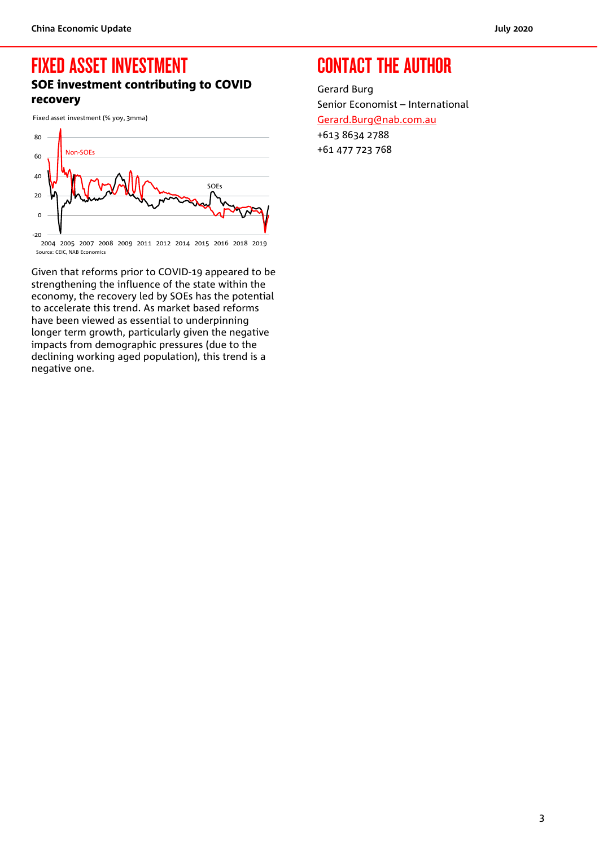## FIXED ASSET INVESTMENT

#### SOE investment contributing to COVID recovery

Fixed asset investment (% yoy, 3mma)



Source: CEIC, NAB Economics

Given that reforms prior to COVID-19 appeared to be strengthening the influence of the state within the economy, the recovery led by SOEs has the potential to accelerate this trend. As market based reforms have been viewed as essential to underpinning longer term growth, particularly given the negative impacts from demographic pressures (due to the declining working aged population), this trend is a negative one.

# CONTACT THE AUTHOR

Gerard Burg Senior Economist – International [Gerard.Burg@nab.com.au](mailto:Gerard.Burg@nab.com.au) +613 8634 2788 +61 477 723 768